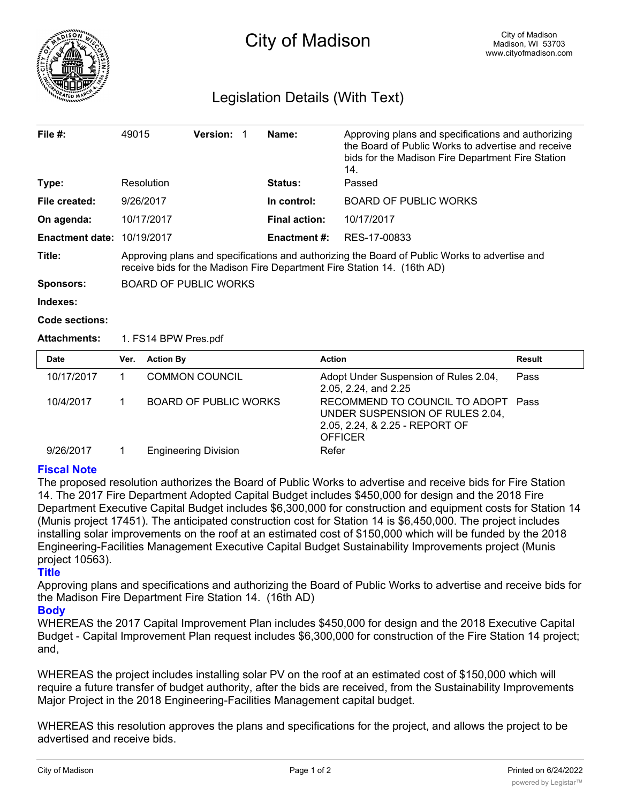

# Legislation Details (With Text)

| File $#$ :             | 49015                                                                                                                                                                    | <b>Version:</b> |  | Name:                | Approving plans and specifications and authorizing<br>the Board of Public Works to advertise and receive<br>bids for the Madison Fire Department Fire Station<br>14. |  |  |
|------------------------|--------------------------------------------------------------------------------------------------------------------------------------------------------------------------|-----------------|--|----------------------|----------------------------------------------------------------------------------------------------------------------------------------------------------------------|--|--|
| Type:                  | Resolution                                                                                                                                                               |                 |  | <b>Status:</b>       | Passed                                                                                                                                                               |  |  |
| File created:          | 9/26/2017                                                                                                                                                                |                 |  | In control:          | <b>BOARD OF PUBLIC WORKS</b>                                                                                                                                         |  |  |
| On agenda:             | 10/17/2017                                                                                                                                                               |                 |  | <b>Final action:</b> | 10/17/2017                                                                                                                                                           |  |  |
| <b>Enactment date:</b> | 10/19/2017                                                                                                                                                               |                 |  | <b>Enactment #:</b>  | RES-17-00833                                                                                                                                                         |  |  |
| Title:                 | Approving plans and specifications and authorizing the Board of Public Works to advertise and<br>receive bids for the Madison Fire Department Fire Station 14. (16th AD) |                 |  |                      |                                                                                                                                                                      |  |  |
| <b>Sponsors:</b>       | <b>BOARD OF PUBLIC WORKS</b>                                                                                                                                             |                 |  |                      |                                                                                                                                                                      |  |  |
| Indexes:               |                                                                                                                                                                          |                 |  |                      |                                                                                                                                                                      |  |  |

#### **Code sections:**

## **Attachments:** 1. FS14 BPW Pres.pdf

| Date       | Ver. | <b>Action By</b>             | <b>Action</b>                                                                                                             | Result |
|------------|------|------------------------------|---------------------------------------------------------------------------------------------------------------------------|--------|
| 10/17/2017 |      | <b>COMMON COUNCIL</b>        | Adopt Under Suspension of Rules 2.04,<br>2.05, 2.24, and 2.25                                                             | Pass   |
| 10/4/2017  |      | <b>BOARD OF PUBLIC WORKS</b> | RECOMMEND TO COUNCIL TO ADOPT Pass<br>UNDER SUSPENSION OF RULES 2.04,<br>2.05, 2.24, & 2.25 - REPORT OF<br><b>OFFICER</b> |        |
| 9/26/2017  |      | <b>Engineering Division</b>  | Refer                                                                                                                     |        |

# **Fiscal Note**

The proposed resolution authorizes the Board of Public Works to advertise and receive bids for Fire Station 14. The 2017 Fire Department Adopted Capital Budget includes \$450,000 for design and the 2018 Fire Department Executive Capital Budget includes \$6,300,000 for construction and equipment costs for Station 14 (Munis project 17451). The anticipated construction cost for Station 14 is \$6,450,000. The project includes installing solar improvements on the roof at an estimated cost of \$150,000 which will be funded by the 2018 Engineering-Facilities Management Executive Capital Budget Sustainability Improvements project (Munis project 10563).

## **Title**

Approving plans and specifications and authorizing the Board of Public Works to advertise and receive bids for the Madison Fire Department Fire Station 14. (16th AD)

## **Body**

WHEREAS the 2017 Capital Improvement Plan includes \$450,000 for design and the 2018 Executive Capital Budget - Capital Improvement Plan request includes \$6,300,000 for construction of the Fire Station 14 project; and,

WHEREAS the project includes installing solar PV on the roof at an estimated cost of \$150,000 which will require a future transfer of budget authority, after the bids are received, from the Sustainability Improvements Major Project in the 2018 Engineering-Facilities Management capital budget.

WHEREAS this resolution approves the plans and specifications for the project, and allows the project to be advertised and receive bids.